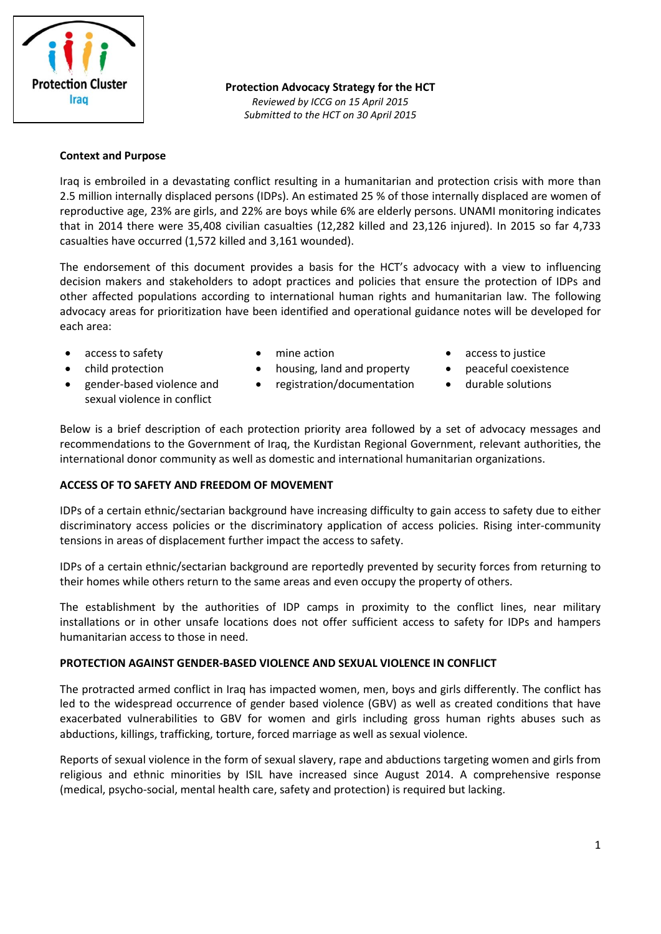

**Protection Advocacy Strategy for the HCT**

*Reviewed by ICCG on 15 April 2015 Submitted to the HCT on 30 April 2015*

### **Context and Purpose**

Iraq is embroiled in a devastating conflict resulting in a humanitarian and protection crisis with more than 2.5 million internally displaced persons (IDPs). An estimated 25 % of those internally displaced are women of reproductive age, 23% are girls, and 22% are boys while 6% are elderly persons. UNAMI monitoring indicates that in 2014 there were 35,408 civilian casualties (12,282 killed and 23,126 injured). In 2015 so far 4,733 casualties have occurred (1,572 killed and 3,161 wounded).

The endorsement of this document provides a basis for the HCT's advocacy with a view to influencing decision makers and stakeholders to adopt practices and policies that ensure the protection of IDPs and other affected populations according to international human rights and humanitarian law. The following advocacy areas for prioritization have been identified and operational guidance notes will be developed for each area:

- 
- 
- gender-based violence and sexual violence in conflict
- 
- child protection housing, land and property peaceful coexistence
	- registration/documentation durable solutions
- access to safety **•** mine action **•** access to justice
	-
	-

Below is a brief description of each protection priority area followed by a set of advocacy messages and recommendations to the Government of Iraq, the Kurdistan Regional Government, relevant authorities, the international donor community as well as domestic and international humanitarian organizations.

### **ACCESS OF TO SAFETY AND FREEDOM OF MOVEMENT**

IDPs of a certain ethnic/sectarian background have increasing difficulty to gain access to safety due to either discriminatory access policies or the discriminatory application of access policies. Rising inter-community tensions in areas of displacement further impact the access to safety.

IDPs of a certain ethnic/sectarian background are reportedly prevented by security forces from returning to their homes while others return to the same areas and even occupy the property of others.

The establishment by the authorities of IDP camps in proximity to the conflict lines, near military installations or in other unsafe locations does not offer sufficient access to safety for IDPs and hampers humanitarian access to those in need.

# **PROTECTION AGAINST GENDER-BASED VIOLENCE AND SEXUAL VIOLENCE IN CONFLICT**

The protracted armed conflict in Iraq has impacted women, men, boys and girls differently. The conflict has led to the widespread occurrence of gender based violence (GBV) as well as created conditions that have exacerbated vulnerabilities to GBV for women and girls including gross human rights abuses such as abductions, killings, trafficking, torture, forced marriage as well as sexual violence.

Reports of sexual violence in the form of sexual slavery, rape and abductions targeting women and girls from religious and ethnic minorities by ISIL have increased since August 2014. A comprehensive response (medical, psycho-social, mental health care, safety and protection) is required but lacking.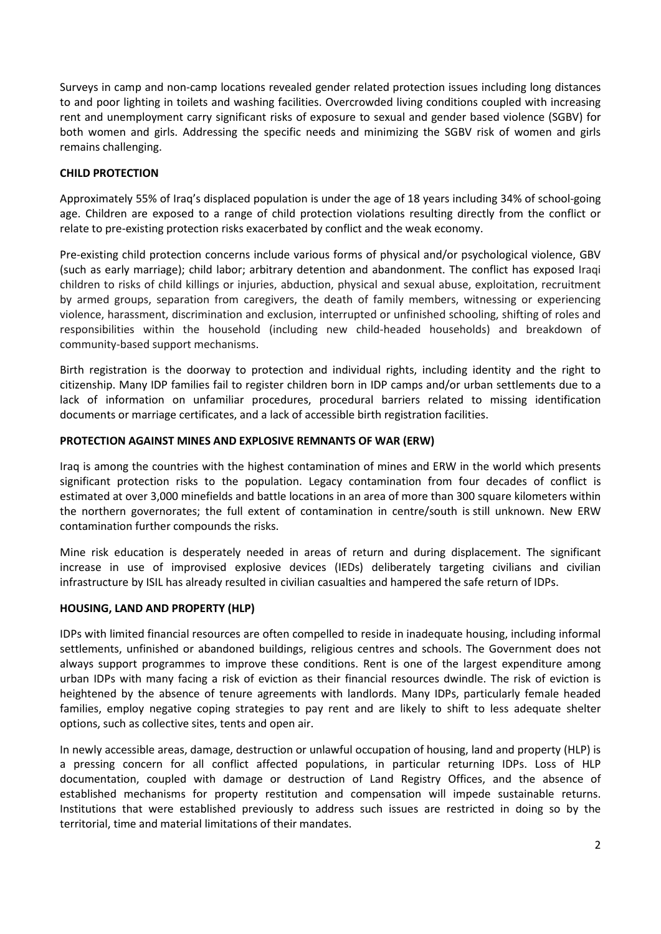Surveys in camp and non-camp locations revealed gender related protection issues including long distances to and poor lighting in toilets and washing facilities. Overcrowded living conditions coupled with increasing rent and unemployment carry significant risks of exposure to sexual and gender based violence (SGBV) for both women and girls. Addressing the specific needs and minimizing the SGBV risk of women and girls remains challenging.

# **CHILD PROTECTION**

Approximately 55% of Iraq's displaced population is under the age of 18 years including 34% of school-going age. Children are exposed to a range of child protection violations resulting directly from the conflict or relate to pre-existing protection risks exacerbated by conflict and the weak economy.

Pre-existing child protection concerns include various forms of physical and/or psychological violence, GBV (such as early marriage); child labor; arbitrary detention and abandonment. The conflict has exposed Iraqi children to risks of child killings or injuries, abduction, physical and sexual abuse, exploitation, recruitment by armed groups, separation from caregivers, the death of family members, witnessing or experiencing violence, harassment, discrimination and exclusion, interrupted or unfinished schooling, shifting of roles and responsibilities within the household (including new child-headed households) and breakdown of community-based support mechanisms.

Birth registration is the doorway to protection and individual rights, including identity and the right to citizenship. Many IDP families fail to register children born in IDP camps and/or urban settlements due to a lack of information on unfamiliar procedures, procedural barriers related to missing identification documents or marriage certificates, and a lack of accessible birth registration facilities.

# **PROTECTION AGAINST MINES AND EXPLOSIVE REMNANTS OF WAR (ERW)**

Iraq is among the countries with the highest contamination of mines and ERW in the world which presents significant protection risks to the population. Legacy contamination from four decades of conflict is estimated at over 3,000 minefields and battle locations in an area of more than 300 square kilometers within the northern governorates; the full extent of contamination in centre/south is still unknown. New ERW contamination further compounds the risks.

Mine risk education is desperately needed in areas of return and during displacement. The significant increase in use of improvised explosive devices (IEDs) deliberately targeting civilians and civilian infrastructure by ISIL has already resulted in civilian casualties and hampered the safe return of IDPs.

### **HOUSING, LAND AND PROPERTY (HLP)**

IDPs with limited financial resources are often compelled to reside in inadequate housing, including informal settlements, unfinished or abandoned buildings, religious centres and schools. The Government does not always support programmes to improve these conditions. Rent is one of the largest expenditure among urban IDPs with many facing a risk of eviction as their financial resources dwindle. The risk of eviction is heightened by the absence of tenure agreements with landlords. Many IDPs, particularly female headed families, employ negative coping strategies to pay rent and are likely to shift to less adequate shelter options, such as collective sites, tents and open air.

In newly accessible areas, damage, destruction or unlawful occupation of housing, land and property (HLP) is a pressing concern for all conflict affected populations, in particular returning IDPs. Loss of HLP documentation, coupled with damage or destruction of Land Registry Offices, and the absence of established mechanisms for property restitution and compensation will impede sustainable returns. Institutions that were established previously to address such issues are restricted in doing so by the territorial, time and material limitations of their mandates.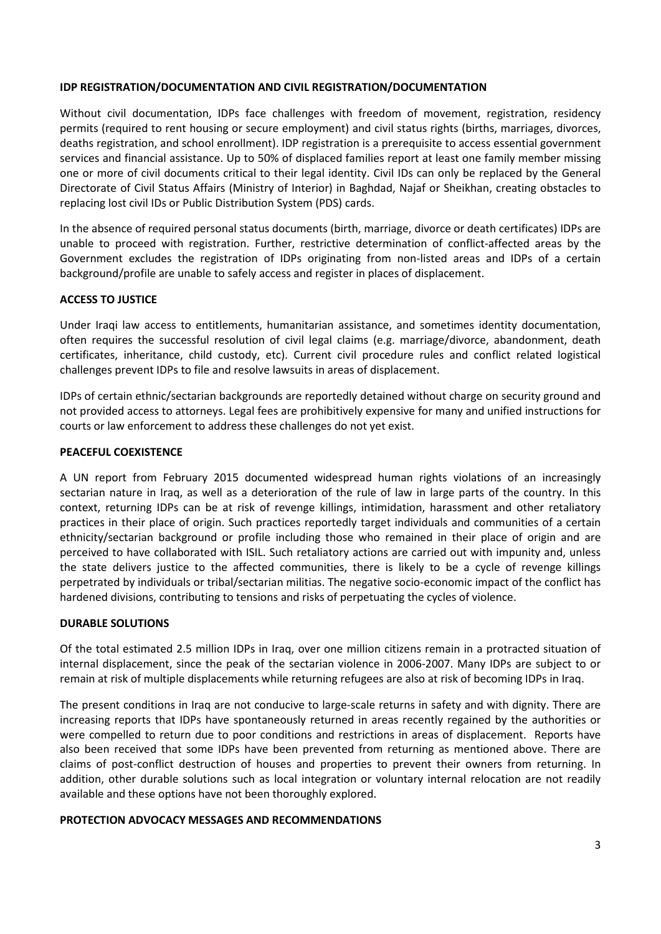### **IDP REGISTRATION/DOCUMENTATION AND CIVIL REGISTRATION/DOCUMENTATION**

Without civil documentation, IDPs face challenges with freedom of movement, registration, residency permits (required to rent housing or secure employment) and civil status rights (births, marriages, divorces, deaths registration, and school enrollment). IDP registration is a prerequisite to access essential government services and financial assistance. Up to 50% of displaced families report at least one family member missing one or more of civil documents critical to their legal identity. Civil IDs can only be replaced by the General Directorate of Civil Status Affairs (Ministry of Interior) in Baghdad, Najaf or Sheikhan, creating obstacles to replacing lost civil IDs or Public Distribution System (PDS) cards.

In the absence of required personal status documents (birth, marriage, divorce or death certificates) IDPs are unable to proceed with registration. Further, restrictive determination of conflict-affected areas by the Government excludes the registration of IDPs originating from non-listed areas and IDPs of a certain background/profile are unable to safely access and register in places of displacement.

# **ACCESS TO JUSTICE**

Under Iraqi law access to entitlements, humanitarian assistance, and sometimes identity documentation, often requires the successful resolution of civil legal claims (e.g. marriage/divorce, abandonment, death certificates, inheritance, child custody, etc). Current civil procedure rules and conflict related logistical challenges prevent IDPs to file and resolve lawsuits in areas of displacement.

IDPs of certain ethnic/sectarian backgrounds are reportedly detained without charge on security ground and not provided access to attorneys. Legal fees are prohibitively expensive for many and unified instructions for courts or law enforcement to address these challenges do not yet exist.

# **PEACEFUL COEXISTENCE**

A UN report from February 2015 documented widespread human rights violations of an increasingly sectarian nature in Iraq, as well as a deterioration of the rule of law in large parts of the country. In this context, returning IDPs can be at risk of revenge killings, intimidation, harassment and other retaliatory practices in their place of origin. Such practices reportedly target individuals and communities of a certain ethnicity/sectarian background or profile including those who remained in their place of origin and are perceived to have collaborated with ISIL. Such retaliatory actions are carried out with impunity and, unless the state delivers justice to the affected communities, there is likely to be a cycle of revenge killings perpetrated by individuals or tribal/sectarian militias. The negative socio-economic impact of the conflict has hardened divisions, contributing to tensions and risks of perpetuating the cycles of violence.

# **DURABLE SOLUTIONS**

Of the total estimated 2.5 million IDPs in Iraq, over one million citizens remain in a protracted situation of internal displacement, since the peak of the sectarian violence in 2006-2007. Many IDPs are subject to or remain at risk of multiple displacements while returning refugees are also at risk of becoming IDPs in Iraq.

The present conditions in Iraq are not conducive to large-scale returns in safety and with dignity. There are increasing reports that IDPs have spontaneously returned in areas recently regained by the authorities or were compelled to return due to poor conditions and restrictions in areas of displacement. Reports have also been received that some IDPs have been prevented from returning as mentioned above. There are claims of post-conflict destruction of houses and properties to prevent their owners from returning. In addition, other durable solutions such as local integration or voluntary internal relocation are not readily available and these options have not been thoroughly explored.

### **PROTECTION ADVOCACY MESSAGES AND RECOMMENDATIONS**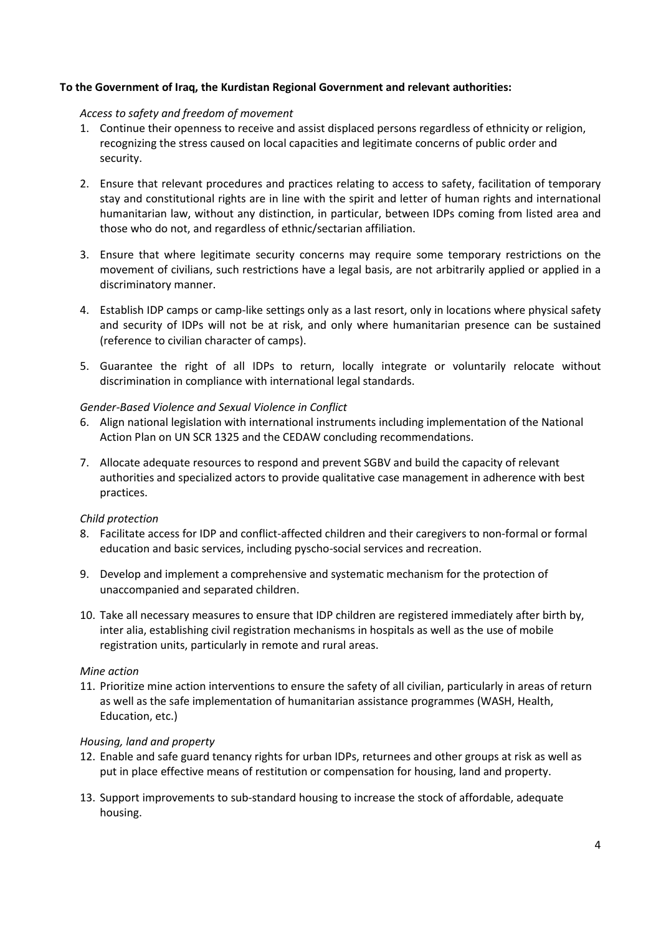# **To the Government of Iraq, the Kurdistan Regional Government and relevant authorities:**

### *Access to safety and freedom of movement*

- 1. Continue their openness to receive and assist displaced persons regardless of ethnicity or religion, recognizing the stress caused on local capacities and legitimate concerns of public order and security.
- 2. Ensure that relevant procedures and practices relating to access to safety, facilitation of temporary stay and constitutional rights are in line with the spirit and letter of human rights and international humanitarian law, without any distinction, in particular, between IDPs coming from listed area and those who do not, and regardless of ethnic/sectarian affiliation.
- 3. Ensure that where legitimate security concerns may require some temporary restrictions on the movement of civilians, such restrictions have a legal basis, are not arbitrarily applied or applied in a discriminatory manner.
- 4. Establish IDP camps or camp-like settings only as a last resort, only in locations where physical safety and security of IDPs will not be at risk, and only where humanitarian presence can be sustained (reference to civilian character of camps).
- 5. Guarantee the right of all IDPs to return, locally integrate or voluntarily relocate without discrimination in compliance with international legal standards.

### *Gender-Based Violence and Sexual Violence in Conflict*

- 6. Align national legislation with international instruments including implementation of the National Action Plan on UN SCR 1325 and the CEDAW concluding recommendations.
- 7. Allocate adequate resources to respond and prevent SGBV and build the capacity of relevant authorities and specialized actors to provide qualitative case management in adherence with best practices.

### *Child protection*

- 8. Facilitate access for IDP and conflict-affected children and their caregivers to non-formal or formal education and basic services, including pyscho-social services and recreation.
- 9. Develop and implement a comprehensive and systematic mechanism for the protection of unaccompanied and separated children.
- 10. Take all necessary measures to ensure that IDP children are registered immediately after birth by, inter alia, establishing civil registration mechanisms in hospitals as well as the use of mobile registration units, particularly in remote and rural areas.

### *Mine action*

11. Prioritize mine action interventions to ensure the safety of all civilian, particularly in areas of return as well as the safe implementation of humanitarian assistance programmes (WASH, Health, Education, etc.)

### *Housing, land and property*

- 12. Enable and safe guard tenancy rights for urban IDPs, returnees and other groups at risk as well as put in place effective means of restitution or compensation for housing, land and property.
- 13. Support improvements to sub-standard housing to increase the stock of affordable, adequate housing.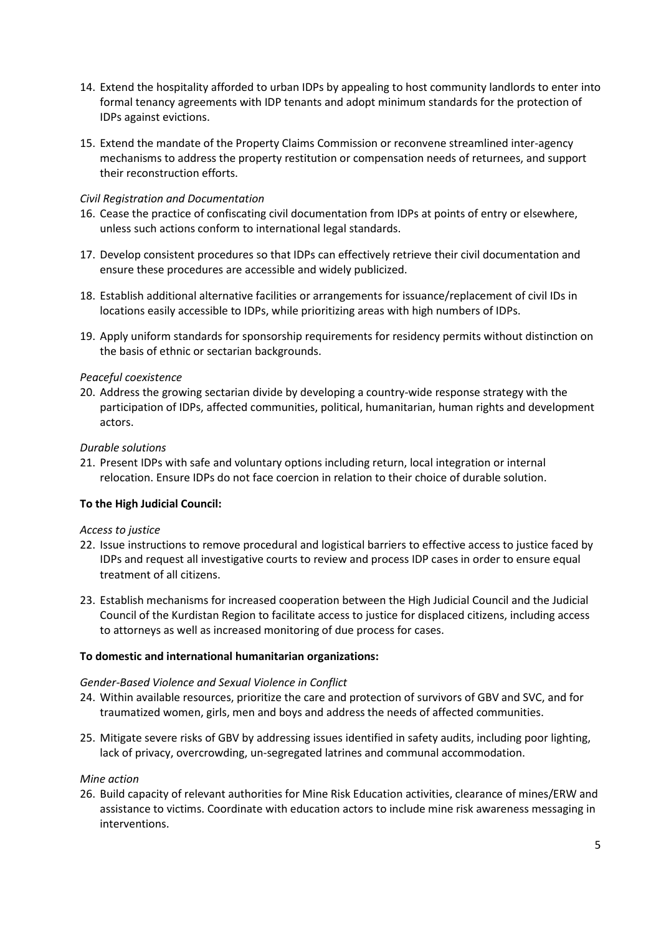- 14. Extend the hospitality afforded to urban IDPs by appealing to host community landlords to enter into formal tenancy agreements with IDP tenants and adopt minimum standards for the protection of IDPs against evictions.
- 15. Extend the mandate of the Property Claims Commission or reconvene streamlined inter-agency mechanisms to address the property restitution or compensation needs of returnees, and support their reconstruction efforts.

# *Civil Registration and Documentation*

- 16. Cease the practice of confiscating civil documentation from IDPs at points of entry or elsewhere, unless such actions conform to international legal standards.
- 17. Develop consistent procedures so that IDPs can effectively retrieve their civil documentation and ensure these procedures are accessible and widely publicized.
- 18. Establish additional alternative facilities or arrangements for issuance/replacement of civil IDs in locations easily accessible to IDPs, while prioritizing areas with high numbers of IDPs.
- 19. Apply uniform standards for sponsorship requirements for residency permits without distinction on the basis of ethnic or sectarian backgrounds.

# *Peaceful coexistence*

20. Address the growing sectarian divide by developing a country-wide response strategy with the participation of IDPs, affected communities, political, humanitarian, human rights and development actors.

### *Durable solutions*

21. Present IDPs with safe and voluntary options including return, local integration or internal relocation. Ensure IDPs do not face coercion in relation to their choice of durable solution.

# **To the High Judicial Council:**

### *Access to justice*

- 22. Issue instructions to remove procedural and logistical barriers to effective access to justice faced by IDPs and request all investigative courts to review and process IDP cases in order to ensure equal treatment of all citizens.
- 23. Establish mechanisms for increased cooperation between the High Judicial Council and the Judicial Council of the Kurdistan Region to facilitate access to justice for displaced citizens, including access to attorneys as well as increased monitoring of due process for cases.

### **To domestic and international humanitarian organizations:**

### *Gender-Based Violence and Sexual Violence in Conflict*

- 24. Within available resources, prioritize the care and protection of survivors of GBV and SVC, and for traumatized women, girls, men and boys and address the needs of affected communities.
- 25. Mitigate severe risks of GBV by addressing issues identified in safety audits, including poor lighting, lack of privacy, overcrowding, un-segregated latrines and communal accommodation.

### *Mine action*

26. Build capacity of relevant authorities for Mine Risk Education activities, clearance of mines/ERW and assistance to victims. Coordinate with education actors to include mine risk awareness messaging in interventions.